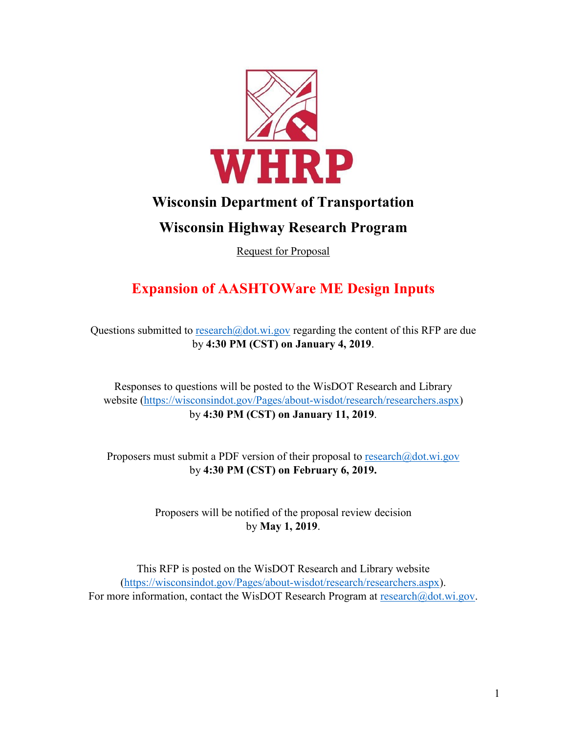

# **Wisconsin Department of Transportation**

# **Wisconsin Highway Research Program**

Request for Proposal

# **Expansion of AASHTOWare ME Design Inputs**

Questions submitted to [research@dot.wi.gov](mailto:research@dot.wi.gov) regarding the content of this RFP are due by **4:30 PM (CST) on January 4, 2019**.

Responses to questions will be posted to the WisDOT Research and Library website [\(https://wisconsindot.gov/Pages/about-wisdot/research/researchers.aspx\)](https://wisconsindot.gov/Pages/about-wisdot/research/researchers.aspx) by **4:30 PM (CST) on January 11, 2019**.

Proposers must submit a PDF version of their proposal to  $\text{res}$  research $\omega$ dot.wi.gov by **4:30 PM (CST) on February 6, 2019.**

> Proposers will be notified of the proposal review decision by **May 1, 2019**.

This RFP is posted on the WisDOT Research and Library website [\(https://wisconsindot.gov/Pages/about-wisdot/research/researchers.aspx\)](https://wisconsindot.gov/Pages/about-wisdot/research/researchers.aspx). For more information, contact the WisDOT Research Program at [research@dot.wi.gov.](mailto:research@dot.wi.gov)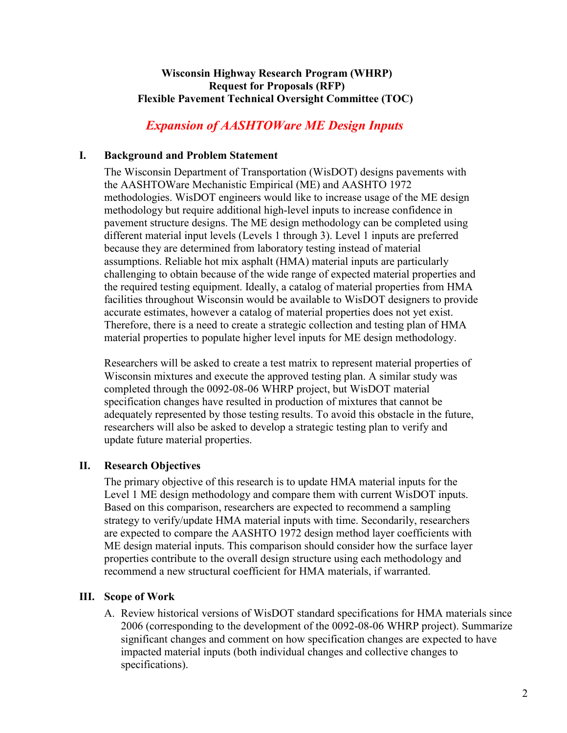#### **Wisconsin Highway Research Program (WHRP) Request for Proposals (RFP) Flexible Pavement Technical Oversight Committee (TOC)**

# *Expansion of AASHTOWare ME Design Inputs*

#### **I. Background and Problem Statement**

The Wisconsin Department of Transportation (WisDOT) designs pavements with the AASHTOWare Mechanistic Empirical (ME) and AASHTO 1972 methodologies. WisDOT engineers would like to increase usage of the ME design methodology but require additional high-level inputs to increase confidence in pavement structure designs. The ME design methodology can be completed using different material input levels (Levels 1 through 3). Level 1 inputs are preferred because they are determined from laboratory testing instead of material assumptions. Reliable hot mix asphalt (HMA) material inputs are particularly challenging to obtain because of the wide range of expected material properties and the required testing equipment. Ideally, a catalog of material properties from HMA facilities throughout Wisconsin would be available to WisDOT designers to provide accurate estimates, however a catalog of material properties does not yet exist. Therefore, there is a need to create a strategic collection and testing plan of HMA material properties to populate higher level inputs for ME design methodology.

Researchers will be asked to create a test matrix to represent material properties of Wisconsin mixtures and execute the approved testing plan. A similar study was completed through the 0092-08-06 WHRP project, but WisDOT material specification changes have resulted in production of mixtures that cannot be adequately represented by those testing results. To avoid this obstacle in the future, researchers will also be asked to develop a strategic testing plan to verify and update future material properties.

#### **II. Research Objectives**

The primary objective of this research is to update HMA material inputs for the Level 1 ME design methodology and compare them with current WisDOT inputs. Based on this comparison, researchers are expected to recommend a sampling strategy to verify/update HMA material inputs with time. Secondarily, researchers are expected to compare the AASHTO 1972 design method layer coefficients with ME design material inputs. This comparison should consider how the surface layer properties contribute to the overall design structure using each methodology and recommend a new structural coefficient for HMA materials, if warranted.

#### **III. Scope of Work**

A. Review historical versions of WisDOT standard specifications for HMA materials since 2006 (corresponding to the development of the 0092-08-06 WHRP project). Summarize significant changes and comment on how specification changes are expected to have impacted material inputs (both individual changes and collective changes to specifications).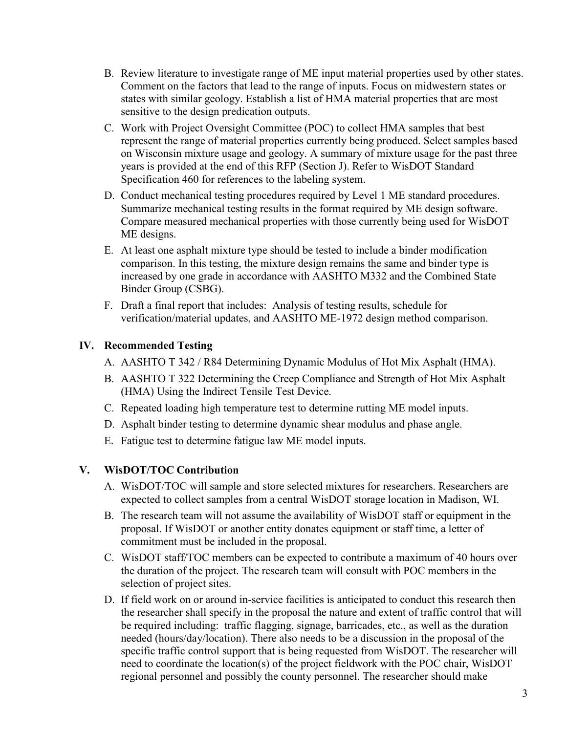- B. Review literature to investigate range of ME input material properties used by other states. Comment on the factors that lead to the range of inputs. Focus on midwestern states or states with similar geology. Establish a list of HMA material properties that are most sensitive to the design predication outputs.
- C. Work with Project Oversight Committee (POC) to collect HMA samples that best represent the range of material properties currently being produced. Select samples based on Wisconsin mixture usage and geology. A summary of mixture usage for the past three years is provided at the end of this RFP (Section J). Refer to WisDOT Standard Specification 460 for references to the labeling system.
- D. Conduct mechanical testing procedures required by Level 1 ME standard procedures. Summarize mechanical testing results in the format required by ME design software. Compare measured mechanical properties with those currently being used for WisDOT ME designs.
- E. At least one asphalt mixture type should be tested to include a binder modification comparison. In this testing, the mixture design remains the same and binder type is increased by one grade in accordance with AASHTO M332 and the Combined State Binder Group (CSBG).
- F. Draft a final report that includes: Analysis of testing results, schedule for verification/material updates, and AASHTO ME-1972 design method comparison.

## **IV. Recommended Testing**

- A. AASHTO T 342 / R84 Determining Dynamic Modulus of Hot Mix Asphalt (HMA).
- B. AASHTO T 322 Determining the Creep Compliance and Strength of Hot Mix Asphalt (HMA) Using the Indirect Tensile Test Device.
- C. Repeated loading high temperature test to determine rutting ME model inputs.
- D. Asphalt binder testing to determine dynamic shear modulus and phase angle.
- E. Fatigue test to determine fatigue law ME model inputs.

## **V. WisDOT/TOC Contribution**

- A. WisDOT/TOC will sample and store selected mixtures for researchers. Researchers are expected to collect samples from a central WisDOT storage location in Madison, WI.
- B. The research team will not assume the availability of WisDOT staff or equipment in the proposal. If WisDOT or another entity donates equipment or staff time, a letter of commitment must be included in the proposal.
- C. WisDOT staff/TOC members can be expected to contribute a maximum of 40 hours over the duration of the project. The research team will consult with POC members in the selection of project sites.
- D. If field work on or around in-service facilities is anticipated to conduct this research then the researcher shall specify in the proposal the nature and extent of traffic control that will be required including: traffic flagging, signage, barricades, etc., as well as the duration needed (hours/day/location). There also needs to be a discussion in the proposal of the specific traffic control support that is being requested from WisDOT. The researcher will need to coordinate the location(s) of the project fieldwork with the POC chair, WisDOT regional personnel and possibly the county personnel. The researcher should make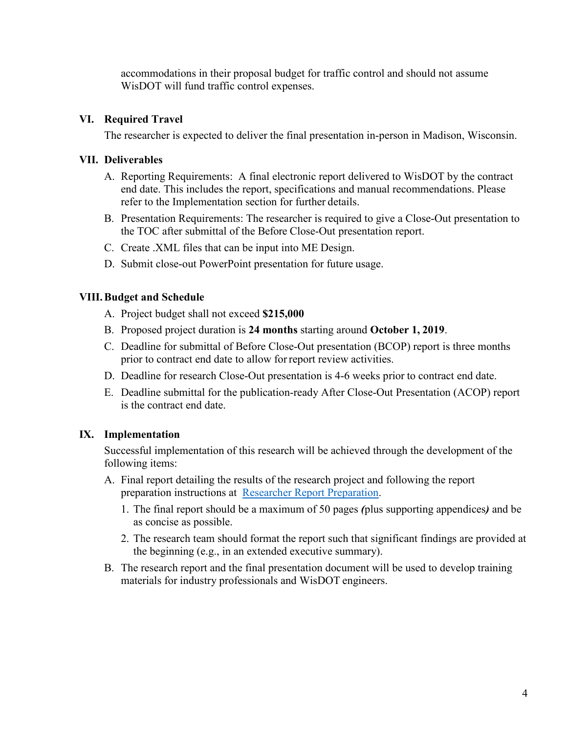accommodations in their proposal budget for traffic control and should not assume WisDOT will fund traffic control expenses.

#### **VI. Required Travel**

The researcher is expected to deliver the final presentation in-person in Madison, Wisconsin.

### **VII. Deliverables**

- A. Reporting Requirements: A final electronic report delivered to WisDOT by the contract end date. This includes the report, specifications and manual recommendations. Please refer to the Implementation section for further details.
- B. Presentation Requirements: The researcher is required to give a Close-Out presentation to the TOC after submittal of the Before Close-Out presentation report.
- C. Create .XML files that can be input into ME Design.
- D. Submit close-out PowerPoint presentation for future usage.

### **VIII.Budget and Schedule**

- A. Project budget shall not exceed **\$215,000**
- B. Proposed project duration is **24 months** starting around **October 1, 2019**.
- C. Deadline for submittal of Before Close-Out presentation (BCOP) report is three months prior to contract end date to allow forreport review activities.
- D. Deadline for research Close-Out presentation is 4-6 weeks prior to contract end date.
- E. Deadline submittal for the publication-ready After Close-Out Presentation (ACOP) report is the contract end date.

## **IX. Implementation**

Successful implementation of this research will be achieved through the development of the following items:

- A. Final report detailing the results of the research project and following the report preparation instructions at [Researcher Report Preparation.](https://wisconsindot.gov/Pages/about-wisdot/research/researchers.aspx)
	- 1. The final report should be a maximum of 50 pages *(*plus supporting appendices*)* and be as concise as possible.
	- 2. The research team should format the report such that significant findings are provided at the beginning (e.g., in an extended executive summary).
- B. The research report and the final presentation document will be used to develop training materials for industry professionals and WisDOT engineers.